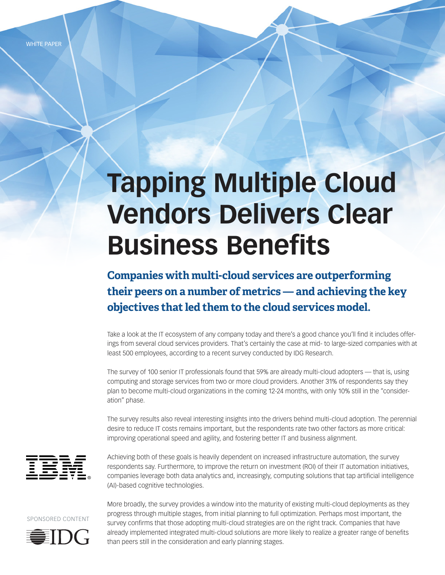WHITE PAPER

# **Tapping Multiple Cloud Vendors Delivers Clear Business Benefits**

**Companies with multi-cloud services are outperforming their peers on a number of metrics — and achieving the key objectives that led them to the cloud services model.**

Take a look at the IT ecosystem of any company today and there's a good chance you'll find it includes offerings from several cloud services providers. That's certainly the case at mid- to large-sized companies with at least 500 employees, according to a recent survey conducted by IDG Research.

The survey of 100 senior IT professionals found that 59% are already multi-cloud adopters — that is, using computing and storage services from two or more cloud providers. Another 31% of respondents say they plan to become multi-cloud organizations in the coming 12-24 months, with only 10% still in the "consideration" phase.

The survey results also reveal interesting insights into the drivers behind multi-cloud adoption. The perennial desire to reduce IT costs remains important, but the respondents rate two other factors as more critical: improving operational speed and agility, and fostering better IT and business alignment.



Achieving both of these goals is heavily dependent on increased infrastructure automation, the survey respondents say. Furthermore, to improve the return on investment (ROI) of their IT automation initiatives, companies leverage both data analytics and, increasingly, computing solutions that tap artificial intelligence (AI)-based cognitive technologies.





More broadly, the survey provides a window into the maturity of existing multi-cloud deployments as they progress through multiple stages, from initial planning to full optimization. Perhaps most important, the survey confirms that those adopting multi-cloud strategies are on the right track. Companies that have already implemented integrated multi-cloud solutions are more likely to realize a greater range of benefits than peers still in the consideration and early planning stages.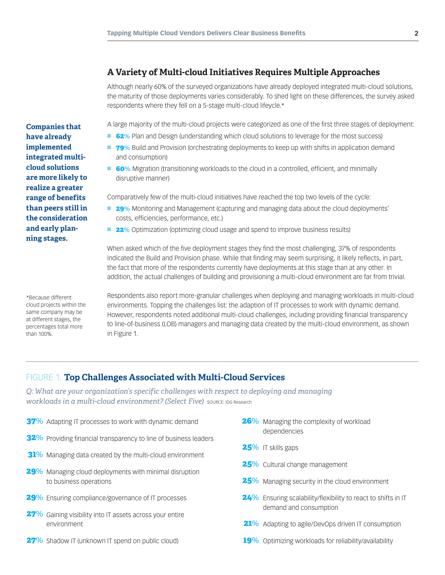## **A Variety of Multi-cloud Initiatives Requires Multiple Approaches**

Although nearly 60% of the surveyed organizations have already deployed integrated multi-cloud solutions, the maturity of those deployments varies considerably. To shed light on these differences, the survey asked respondents where they fell on a 5-stage multi-cloud lifeycle.\*

A large majority of the multi-cloud projects were categorized as one of the first three stages of deployment:

- **62**% Plan and Design (understanding which cloud solutions to leverage for the most success)
- **79**% Build and Provision (orchestrating deployments to keep up with shifts in application demand and consumption)
- **60**% Migration (transitioning workloads to the cloud in a controlled, efficient, and minimally disruptive manner)

Comparatively few of the multi-cloud initiatives have reached the top two levels of the cycle:

- **29%** Monitoring and Management (capturing and managing data about the cloud deployments' costs, efficiencies, performance, etc.)
- **22**% Optimization (optimizing cloud usage and spend to improve business results)

When asked which of the five deployment stages they find the most challenging, 37% of respondents indicated the Build and Provision phase. While that finding may seem surprising, it likely reflects, in part, the fact that more of the respondents currently have deployments at this stage than at any other. In addition, the actual challenges of building and provisioning a multi-cloud environment are far from trivial.

Respondents also report more-granular challenges when deploying and managing workloads in multi-cloud environments. Topping the challenges list: the adaption of IT processes to work with dynamic demand. However, respondents noted additional multi-cloud challenges, including providing financial transparency to line-of-business (LOB) managers and managing data created by the multi-cloud environment, as shown in Figure 1.

#### FIGURE 1. **Top Challenges Associated with Multi-Cloud Services**

*Q: What are your organization's specific challenges with respect to deploying and managing workloads in a multi-cloud environment? (Select Five)* SOURCE: IDG Research

- 37% Adapting IT processes to work with dynamic demand
- 32% Providing financial transparency to line of business leaders
- 31% Managing data created by the multi-cloud environment
- 29% Managing cloud deployments with minimal disruption to business operations
- 29% Ensuring compliance/governance of IT processes
- 27% Gaining visibility into IT assets across your entire environment
- 27% Shadow IT (unknown IT spend on public cloud)
- **26%** Managing the complexity of workload dependencies
- 25% IT skills gaps
- 25% Cultural change management
- 25% Managing security in the cloud environment
- 24% Ensuring scalability/flexibility to react to shifts in IT demand and consumption
- 21% Adapting to agile/DevOps driven IT consumption
- 19% Optimizing workloads for reliability/availability

**Companies that have already implemented integrated multicloud solutions are more likely to realize a greater range of benefits than peers still in the consideration and early planning stages.**

\*Because different cloud projects within the same company may be at different stages, the percentages total more

than 100%.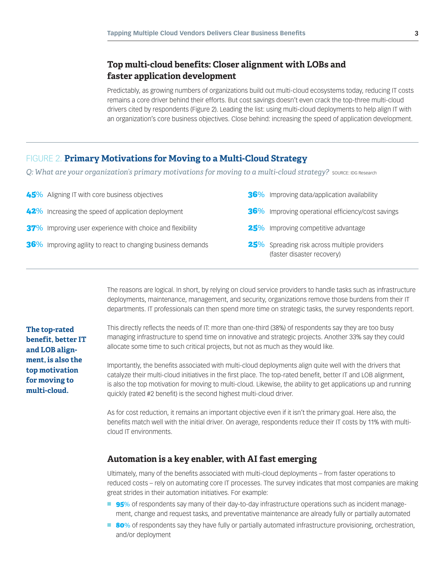## **Top multi-cloud benefits: Closer alignment with LOBs and faster application development**

Predictably, as growing numbers of organizations build out multi-cloud ecosystems today, reducing IT costs remains a core driver behind their efforts. But cost savings doesn't even crack the top-three multi-cloud drivers cited by respondents (Figure 2). Leading the list: using multi-cloud deployments to help align IT with an organization's core business objectives. Close behind: increasing the speed of application development.

## FIGURE 2. **Primary Motivations for Moving to a Multi-Cloud Strategy**

*Q*: What are your organization's primary motivations for moving to a multi-cloud strategy? source: IDG Research

| 45% Aligning IT with core business objectives               | 36% Improving data/application availability                                |
|-------------------------------------------------------------|----------------------------------------------------------------------------|
| 42% Increasing the speed of application deployment          | <b>36%</b> Improving operational efficiency/cost savings                   |
| 37% Improving user experience with choice and flexibility   | 25% Improving competitive advantage                                        |
| 36% Improving agility to react to changing business demands | 25% Spreading risk across multiple providers<br>(faster disaster recovery) |

The reasons are logical. In short, by relying on cloud service providers to handle tasks such as infrastructure deployments, maintenance, management, and security, organizations remove those burdens from their IT departments. IT professionals can then spend more time on strategic tasks, the survey respondents report.

**The top-rated benefit, better IT and LOB alignment, is also the top motivation for moving to multi-cloud.** 

This directly reflects the needs of IT: more than one-third (38%) of respondents say they are too busy managing infrastructure to spend time on innovative and strategic projects. Another 33% say they could allocate some time to such critical projects, but not as much as they would like.

Importantly, the benefits associated with multi-cloud deployments align quite well with the drivers that catalyze their multi-cloud initiatives in the first place. The top-rated benefit, better IT and LOB alignment, is also the top motivation for moving to multi-cloud. Likewise, the ability to get applications up and running quickly (rated #2 benefit) is the second highest multi-cloud driver.

As for cost reduction, it remains an important objective even if it isn't the primary goal. Here also, the benefits match well with the initial driver. On average, respondents reduce their IT costs by 11% with multicloud IT environments.

## **Automation is a key enabler, with AI fast emerging**

Ultimately, many of the benefits associated with multi-cloud deployments – from faster operations to reduced costs – rely on automating core IT processes. The survey indicates that most companies are making great strides in their automation initiatives. For example:

- **95**% of respondents say many of their day-to-day infrastructure operations such as incident management, change and request tasks, and preventative maintenance are already fully or partially automated
- **80**% of respondents say they have fully or partially automated infrastructure provisioning, orchestration, and/or deployment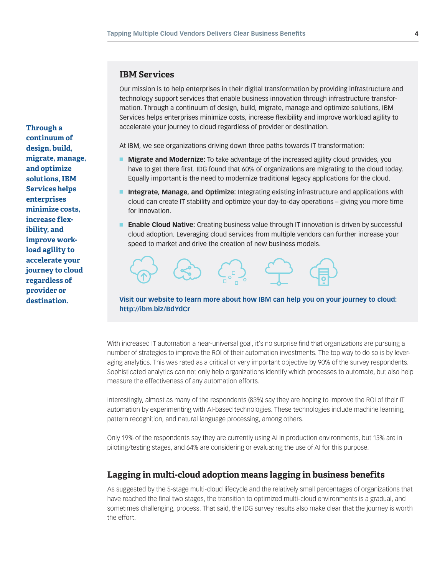#### **IBM Services**

Our mission is to help enterprises in their digital transformation by providing infrastructure and technology support services that enable business innovation through infrastructure transformation. Through a continuum of design, build, migrate, manage and optimize solutions, IBM Services helps enterprises minimize costs, increase flexibility and improve workload agility to accelerate your journey to cloud regardless of provider or destination.

At IBM, we see organizations driving down three paths towards IT transformation:

- **n Migrate and Modernize:** To take advantage of the increased agility cloud provides, you have to get there first. IDG found that 60% of organizations are migrating to the cloud today. Equally important is the need to modernize traditional legacy applications for the cloud.
- n **Integrate, Manage, and Optimize:** Integrating existing infrastructure and applications with cloud can create IT stability and optimize your day-to-day operations – giving you more time for innovation.
- **Enable Cloud Native:** Creating business value through IT innovation is driven by successful cloud adoption. Leveraging cloud services from multiple vendors can further increase your speed to market and drive the creation of new business models.



#### **Visit our website to learn more about how IBM can help you on your journey to cloud: <http://ibm.biz/BdYdCr>**

With increased IT automation a near-universal goal, it's no surprise find that organizations are pursuing a number of strategies to improve the ROI of their automation investments. The top way to do so is by leveraging analytics. This was rated as a critical or very important objective by 90% of the survey respondents. Sophisticated analytics can not only help organizations identify which processes to automate, but also help measure the effectiveness of any automation efforts.

Interestingly, almost as many of the respondents (83%) say they are hoping to improve the ROI of their IT automation by experimenting with AI-based technologies. These technologies include machine learning, pattern recognition, and natural language processing, among others.

Only 19% of the respondents say they are currently using AI in production environments, but 15% are in piloting/testing stages, and 64% are considering or evaluating the use of AI for this purpose.

### **Lagging in multi-cloud adoption means lagging in business benefits**

As suggested by the 5-stage multi-cloud lifecycle and the relatively small percentages of organizations that have reached the final two stages, the transition to optimized multi-cloud environments is a gradual, and sometimes challenging, process. That said, the IDG survey results also make clear that the journey is worth the effort.

**Through a continuum of design, build, migrate, manage, and optimize solutions, IBM Services helps enterprises minimize costs, increase flexibility, and improve workload agility to accelerate your journey to cloud regardless of provider or destination.**